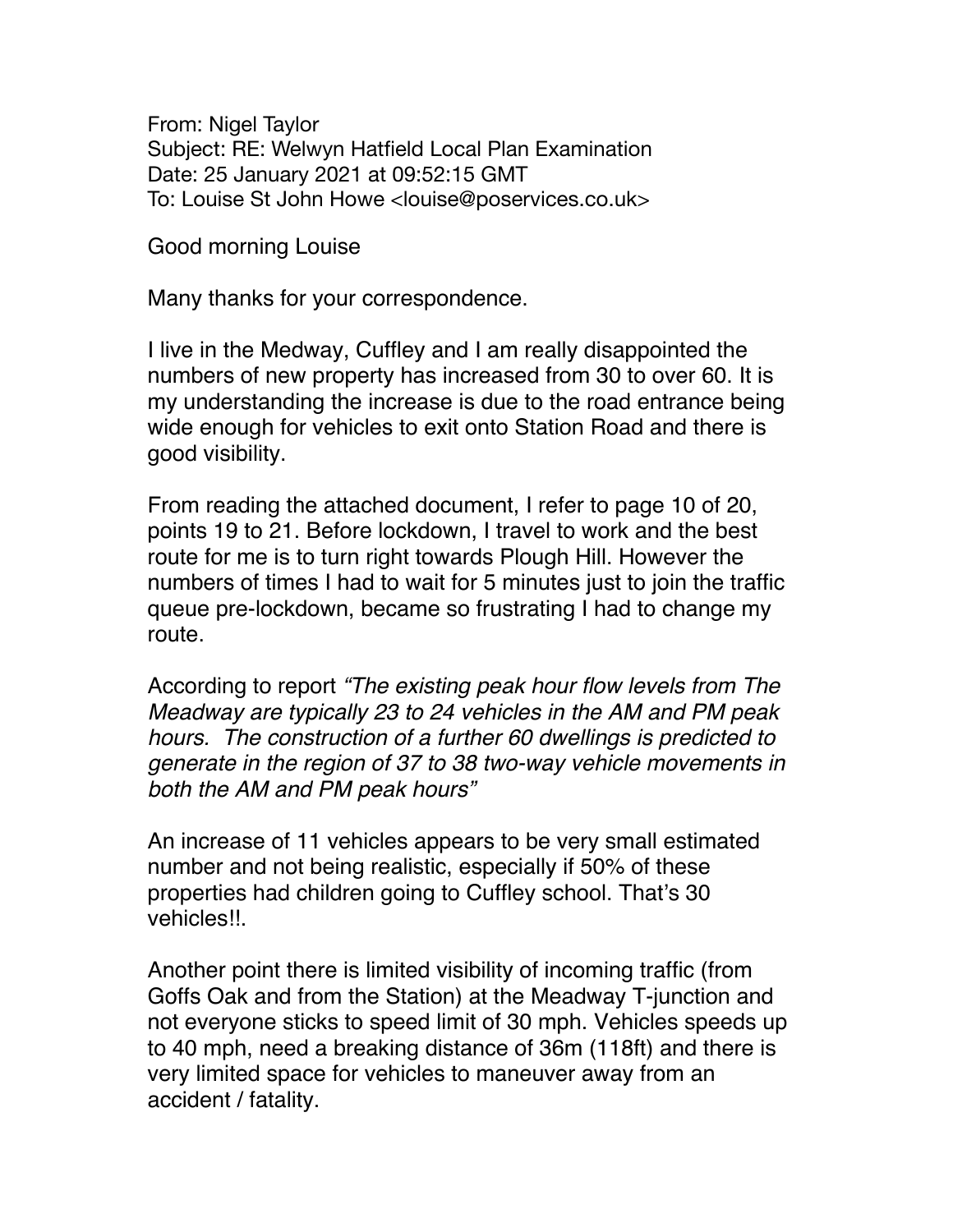From: Nigel Taylor Subject: RE: Welwyn Hatfield Local Plan Examination Date: 25 January 2021 at 09:52:15 GMT To: Louise St John Howe <louise@poservices.co.uk>

Good morning Louise

Many thanks for your correspondence.

I live in the Medway, Cuffley and I am really disappointed the numbers of new property has increased from 30 to over 60. It is my understanding the increase is due to the road entrance being wide enough for vehicles to exit onto Station Road and there is good visibility.

From reading the attached document, I refer to page 10 of 20, points 19 to 21. Before lockdown, I travel to work and the best route for me is to turn right towards Plough Hill. However the numbers of times I had to wait for 5 minutes just to join the traffic queue pre-lockdown, became so frustrating I had to change my route.

According to report *"The existing peak hour flow levels from The Meadway are typically 23 to 24 vehicles in the AM and PM peak hours. The construction of a further 60 dwellings is predicted to generate in the region of 37 to 38 two-way vehicle movements in both the AM and PM peak hours"*

An increase of 11 vehicles appears to be very small estimated number and not being realistic, especially if 50% of these properties had children going to Cuffley school. That's 30 vehicles!!.

Another point there is limited visibility of incoming traffic (from Goffs Oak and from the Station) at the Meadway T-junction and not everyone sticks to speed limit of 30 mph. Vehicles speeds up to 40 mph, need a breaking distance of 36m (118ft) and there is very limited space for vehicles to maneuver away from an accident / fatality.